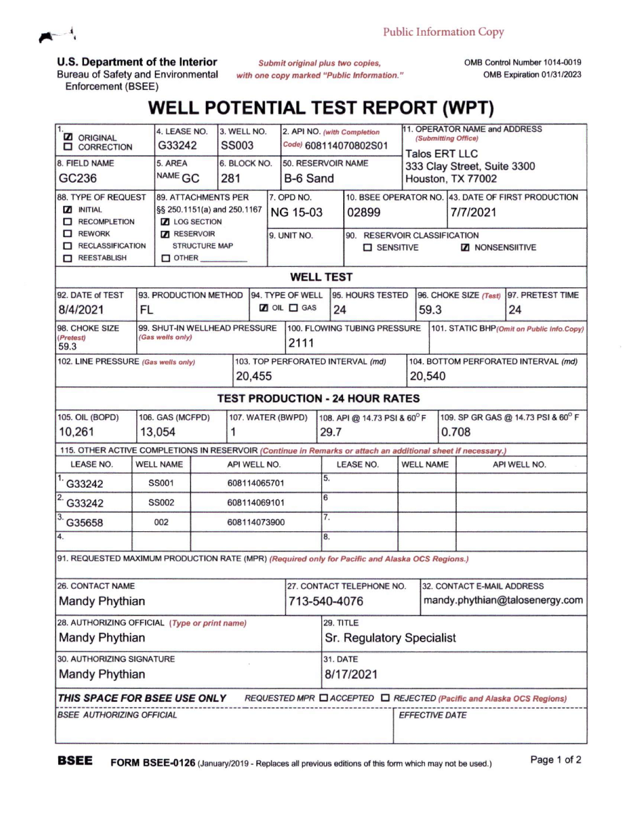

**U.S. Department of the Interior**

Bureau of Safety and Environmental Enforcement (BSEE)

*Submit original plus two copies, with one copy marked "Public Information.* OMB Control Number 1014-0019 OMB Expiration 01/31/2023

## **WELL POTENTIAL TEST REPORT (WPT)**

| <b>Z</b> ORIGINAL<br><b>Q</b> CORRECTION                                                                                                                          | 4. LEASE NO.<br>G33242                                    | 3. WELL NO.<br><b>SS003</b>                                                       |          |                                               |                                           | 2. API NO. (with Completion<br>Code) 608114070802S01        |                                                  | 11. OPERATOR NAME and ADDRESS<br>(Submitting Office)<br><b>Talos ERT LLC</b>             |                                                |                        |  |
|-------------------------------------------------------------------------------------------------------------------------------------------------------------------|-----------------------------------------------------------|-----------------------------------------------------------------------------------|----------|-----------------------------------------------|-------------------------------------------|-------------------------------------------------------------|--------------------------------------------------|------------------------------------------------------------------------------------------|------------------------------------------------|------------------------|--|
| 8. FIELD NAME<br>GC236                                                                                                                                            | 5. AREA<br>6. BLOCK NO.<br>NAME GC<br>281                 |                                                                                   | B-6 Sand |                                               | 50. RESERVOIR NAME                        |                                                             | 333 Clay Street, Suite 3300<br>Houston, TX 77002 |                                                                                          |                                                |                        |  |
| 88. TYPE OF REQUEST<br><b>NITIAL</b><br>RECOMPLETION<br>$\Box$ REWORK<br>RECLASSIFICATION<br>REESTABLISH                                                          | <b>Z</b> LOG SECTION<br>RESERVOIR<br>$\Box$ OTHER         | <b>89. ATTACHMENTS PER</b><br>§§ 250.1151(a) and 250.1167<br><b>STRUCTURE MAP</b> |          | 7. OPD NO.<br><b>NG 15-03</b><br>9. UNIT NO.  |                                           | 02899<br>90. RESERVOIR CLASSIFICATION<br><b>D</b> SENSITIVE |                                                  | 10. BSEE OPERATOR NO. 43. DATE OF FIRST PRODUCTION<br>7/7/2021<br><b>Z</b> NONSENSIITIVE |                                                |                        |  |
| <b>WELL TEST</b>                                                                                                                                                  |                                                           |                                                                                   |          |                                               |                                           |                                                             |                                                  |                                                                                          |                                                |                        |  |
| 92. DATE of TEST<br>8/4/2021                                                                                                                                      | 93. PRODUCTION METHOD<br>FL                               |                                                                                   |          | 94. TYPE OF WELL<br><b>Z</b> OIL <b>O</b> GAS |                                           | 95. HOURS TESTED<br>24                                      |                                                  | 96. CHOKE SIZE (Test)<br>59.3                                                            |                                                | 97. PRETEST TIME<br>24 |  |
| 98. CHOKE SIZE<br>(Pretest)<br>59.3                                                                                                                               | 99. SHUT-IN WELLHEAD PRESSURE<br>(Gas wells only)<br>2111 |                                                                                   |          |                                               |                                           | 100. FLOWING TUBING PRESSURE                                |                                                  |                                                                                          | 101. STATIC BHP (Omit on Public Info.Copy)     |                        |  |
| 102. LINE PRESSURE (Gas wells only)<br>20,455                                                                                                                     |                                                           |                                                                                   |          |                                               |                                           | 103. TOP PERFORATED INTERVAL (md)                           |                                                  |                                                                                          | 104. BOTTOM PERFORATED INTERVAL (md)<br>20,540 |                        |  |
| <b>TEST PRODUCTION - 24 HOUR RATES</b>                                                                                                                            |                                                           |                                                                                   |          |                                               |                                           |                                                             |                                                  |                                                                                          |                                                |                        |  |
| 105. OIL (BOPD)<br>106. GAS (MCFPD)<br>107. WATER (BWPD)<br>13,054<br>10,261<br>1                                                                                 |                                                           |                                                                                   |          | 108. API @ 14.73 PSI & 60°F<br>29.7           |                                           |                                                             | 109. SP GR GAS @ 14.73 PSI & 60° F<br>0.708      |                                                                                          |                                                |                        |  |
| 115. OTHER ACTIVE COMPLETIONS IN RESERVOIR (Continue in Remarks or attach an additional sheet if necessary.)                                                      |                                                           |                                                                                   |          |                                               |                                           |                                                             |                                                  |                                                                                          |                                                |                        |  |
| <b>LEASE NO.</b>                                                                                                                                                  | <b>WELL NAME</b><br>API WELL NO.                          |                                                                                   |          |                                               |                                           | <b>LEASE NO.</b>                                            |                                                  | <b>WELL NAME</b>                                                                         |                                                | API WELL NO.           |  |
| G33242                                                                                                                                                            | <b>SS001</b>                                              | 608114065701                                                                      |          |                                               | 5.                                        |                                                             |                                                  |                                                                                          |                                                |                        |  |
| G33242                                                                                                                                                            | <b>SS002</b><br>608114069101                              |                                                                                   |          |                                               | 6                                         | 7.                                                          |                                                  |                                                                                          |                                                |                        |  |
| G35658                                                                                                                                                            | 002<br>608114073900                                       |                                                                                   |          |                                               |                                           |                                                             |                                                  |                                                                                          |                                                |                        |  |
| 4.                                                                                                                                                                |                                                           |                                                                                   |          | 8.                                            |                                           |                                                             |                                                  |                                                                                          |                                                |                        |  |
| 91. REQUESTED MAXIMUM PRODUCTION RATE (MPR) (Required only for Pacific and Alaska OCS Regions.)                                                                   |                                                           |                                                                                   |          |                                               |                                           |                                                             |                                                  |                                                                                          |                                                |                        |  |
| 26. CONTACT NAME<br><b>Mandy Phythian</b>                                                                                                                         |                                                           |                                                                                   |          |                                               | 27. CONTACT TELEPHONE NO.<br>713-540-4076 |                                                             |                                                  | 32. CONTACT E-MAIL ADDRESS<br>mandy.phythian@talosenergy.com                             |                                                |                        |  |
| 28. AUTHORIZING OFFICIAL (Type or print name)<br>Mandy Phythian                                                                                                   |                                                           |                                                                                   |          |                                               | 29. TITLE<br>Sr. Regulatory Specialist    |                                                             |                                                  |                                                                                          |                                                |                        |  |
| 30. AUTHORIZING SIGNATURE<br><b>Mandy Phythian</b>                                                                                                                |                                                           |                                                                                   |          |                                               | <b>31. DATE</b><br>8/17/2021              |                                                             |                                                  |                                                                                          |                                                |                        |  |
| THIS SPACE FOR BSEE USE ONLY<br>REQUESTED MPR □ ACCEPTED □ REJECTED (Pacific and Alaska OCS Regions)<br><b>BSEE AUTHORIZING OFFICIAL</b><br><b>EFFECTIVE DATE</b> |                                                           |                                                                                   |          |                                               |                                           |                                                             |                                                  |                                                                                          |                                                |                        |  |